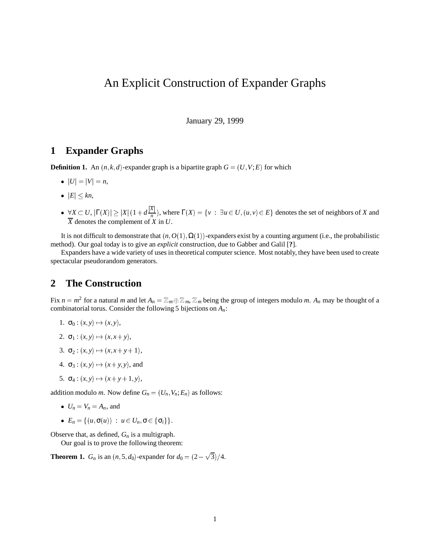# An Explicit Construction of Expander Graphs

January 29, 1999

## **1 Expander Graphs**

**Definition 1.** An  $(n, k, d)$ -expander graph is a bipartite graph  $G = (U, V; E)$  for which

- $|U| = |V| = n$ ,
- $|E| \leq kn$ ,
- $\bullet \ \ \forall X \subset U, |\Gamma(X)| \ge |X| (1 + d \frac{|\overline{X}|}{n}),$  where  $\Gamma(X) = \{v : \exists u \in U, (u, v) \in E\}$  denotes the set of neighbors of *X* and  $\overline{X}$  denotes the complement of  $\overline{X}$  in  $U$ .

It is not difficult to demonstrate that  $(n, O(1), \Omega(1))$ -expanders exist by a counting argument (i.e., the probabilistic method). Our goal today is to give an *explicit* construction, due to Gabber and Galil [**?**].

Expanders have a wide variety of uses in theoretical computer science. Most notably, they have been used to create spectacular pseudorandom generators.

# **2 The Construction**

Fix  $n = m^2$  for a natural *m* and let  $A_n = \mathbb{Z}_m \oplus \mathbb{Z}_m$ ,  $\mathbb{Z}_m$  being the group of integers modulo *m*.  $A_n$  may be thought of a combinatorial torus. Consider the following 5 bijections on *An*:

- 1.  $\sigma_0: (x, y) \mapsto (x, y)$ ,
- 2.  $\sigma_1: (x, y) \mapsto (x, x + y),$
- 3.  $\sigma_2 : (x, y) \mapsto (x, x + y + 1),$
- 4.  $\sigma_3$ :  $(x, y) \mapsto (x + y, y)$ , and
- 5.  $\sigma_4: (x, y) \mapsto (x + y + 1, y),$

addition modulo *m*. Now define  $G_n = (U_n, V_n; E_n)$  as follows:

- $U_n = V_n = A_n$ , and
- $\bullet$   $E_n = \{ (u, \sigma(u)) : u \in U_n, \sigma \in \{ \sigma_i \} \}.$

Observe that, as defined, *Gn* is a multigraph.

Our goal is to prove the following theorem:

**Theorem 1.**  $G_n$  is an  $(n, 5, d_0)$ -expander for  $d_0 = (2 - \sqrt{3})/4$ .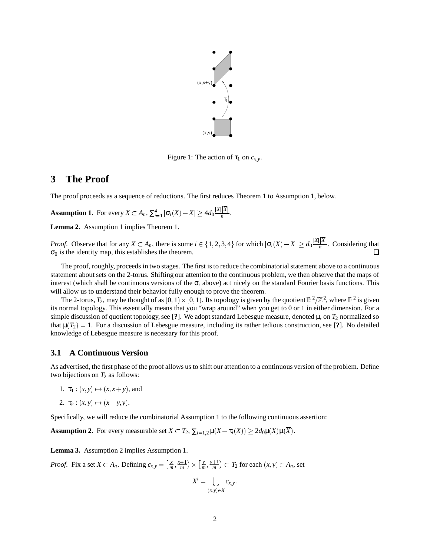

Figure 1: The action of  $\tau_1$  on  $c_{x,y}$ .

## **3 The Proof**

The proof proceeds as a sequence of reductions. The first reduces Theorem 1 to Assumption 1, below.

**Assumption 1.** For every  $X \subset A_n$ ,  $\sum_{i=1}^4 |\sigma_i(X) - X| \ge 4d_0 \frac{|X||\overline{X}|}{n}$ .

**Lemma 2.** Assumption 1 implies Theorem 1.

*Proof.* Observe that for any  $X \subset A_n$ , there is some  $i \in \{1, 2, 3, 4\}$  for which  $|\sigma_i(X) - X| \ge d_0 \frac{|X| |\overline{X}|}{n}$ . Considering that  $\sigma_0$  is the identity map, this establishes the theorem.

The proof, roughly, proceeds in two stages. The first is to reduce the combinatorial statement above to a continuous statement about sets on the 2-torus. Shifting our attention to the continuous problem, we then observe that the maps of interest (which shall be continuous versions of the  $\sigma_i$  above) act nicely on the standard Fourier basis functions. This will allow us to understand their behavior fully enough to prove the theorem.

The 2-torus,  $T_2$ , may be thought of as  $[0,1)\times[0,1)$ . Its topology is given by the quotient  $\mathbb{R}^2/\mathbb{Z}^2$ , where  $\mathbb{R}^2$  is given its normal topology. This essentially means that you "wrap around" when you get to 0 or 1 in either dimension. For a simple discussion of quotient topology, see [?]. We adopt standard Lebesgue measure, denoted  $\mu$ , on  $T_2$  normalized so that  $\mu(T_2) = 1$ . For a discussion of Lebesgue measure, including its rather tedious construction, see [?]. No detailed knowledge of Lebesgue measure is necessary for this proof.

#### **3.1 A Continuous Version**

As advertised, the first phase of the proof allows us to shift our attention to a continuous version of the problem. Define two bijections on  $T_2$  as follows:

- 1.  $\tau_1$  :  $(x, y) \mapsto (x, x + y)$ , and
- 2.  $\tau_2$ :  $(x, y) \mapsto (x + y, y)$ .

Specifically, we will reduce the combinatorial Assumption 1 to the following continuous assertion:

**Assumption 2.** For every measurable set  $X \subset T_2$ ,  $\sum_{i=1,2} \mu(X - \tau_i(X)) \geq 2d_0\mu(X)\mu(\overline{X})$ .

**Lemma 3.** Assumption 2 implies Assumption 1.

*Proof.* Fix a set  $X \subset A_n$ . Defining  $c_{x,y} = \left[\frac{x}{m}, \frac{x+1}{m}\right] \times \left[\frac{y}{m}, \frac{y+1}{n}\right]$  $\left[\frac{y}{m}, \frac{y+1}{m}\right] \subset T_2$  for each  $(x, y) \in A_n$ , set

$$
X'=\bigcup_{(x,y)\in X}c_{x,y}.
$$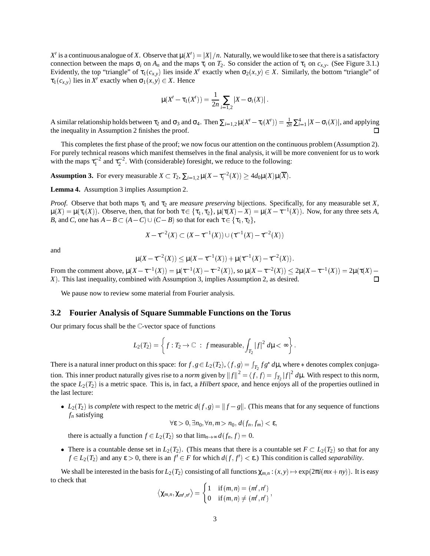$X'$  is a continuous analogue of X. Observe that  $\mu(X') = |X|/n$ . Naturally, we would like to see that there is a satisfactory connection between the maps  $\sigma_i$  on  $A_n$  and the maps  $\tau_i$  on  $T_2$ . So consider the action of  $\tau_1$  on  $c_{x,y}$ . (See Figure 3.1.) Evidently, the top "triangle" of  $\tau_1(c_{x,y})$  lies inside  $X'$  exactly when  $\sigma_2(x,y) \in X$ . Similarly, the bottom "triangle" of  $\tau_1(c_{x,y})$  lies in *X'* exactly when  $\sigma_1(x, y) \in X$ . Hence

$$
\mu(X'-\tau_1(X')) = \frac{1}{2n} \sum_{i=1,2} |X - \sigma_i(X)|.
$$

A similar relationship holds between  $\tau_2$  and  $\sigma_3$  and  $\sigma_4$ . Then  $\sum_{i=1,2} \mu(X'-\tau_i(X')) = \frac{1}{2n} \sum_{i=1}^4 |X-\sigma_i(X)|$ , and applying the inequality in Assumption 2 finishes the proof.

This completes the first phase of the proof; we now focus our attention on the continuous problem (Assumption 2). For purely technical reasons which manifest themselves in the final analysis, it will be more convenient for us to work with the maps  $\tau_1^{-2}$  and  $\tau_2^{-2}$ . With (considerable) foresight, we reduce to the following:

**Assumption 3.** For every measurable  $X \subset T_2$ ,  $\sum_{i=1,2} \mu(X - \tau_i^{-2}(X)) \ge 4d_0\mu(X)\mu(\overline{X})$ .

**Lemma 4.** Assumption 3 implies Assumption 2.

*Proof.* Observe that both maps  $\tau_1$  and  $\tau_2$  are *measure preserving* bijections. Specifically, for any measurable set *X*,  $\mu(X) = \mu(\tau_i(X))$ . Observe, then, that for both  $\tau \in {\tau_1, \tau_2}$ ,  $\mu(\tau(X) - X) = \mu(X - \tau^{-1}(X))$ . Now, for any three sets *A*, *B*, and *C*, one has  $A - B \subset (A - C) \cup (C - B)$  so that for each  $\tau \in \{\tau_1, \tau_2\}$ ,

$$
X - \tau^{-2}(X) \subset (X - \tau^{-1}(X)) \cup (\tau^{-1}(X) - \tau^{-2}(X))
$$

and

$$
\mu(X - \tau^{-2}(X)) \le \mu(X - \tau^{-1}(X)) + \mu(\tau^{-1}(X) - \tau^{-2}(X)).
$$

From the comment above,  $\mu(X - \tau^{-1}(X)) = \mu(\tau^{-1}(X) - \tau^{-2}(X))$ , so  $\mu(X - \tau^{-2}(X)) \le 2\mu(X - \tau^{-1}(X)) = 2\mu(\tau(X) - \tau^{-2}(X))$ *X*). This last inequality, combined with Assumption 3, implies Assumption 2, as desired.  $\Box$ 

We pause now to review some material from Fourier analysis.

#### **3.2 Fourier Analysis of Square Summable Functions on the Torus**

Our primary focus shall be the  $\mathbb{C}$ -vector space of functions

$$
L_2(T_2) = \left\{ f : T_2 \to \mathbb{C} \; : \; f \text{ measurable}, \int_{T_2} |f|^2 \, d\mu < \infty \right\}.
$$

There is a natural inner product on this space: for  $f, g \in L_2(T_2), \langle f, g \rangle = \int_{T_2} f g^* d\mu$ , where  $*$  denotes complex conjugation. This inner product naturally gives rise to a *norm* given by  $||f||^2 = \langle f, f \rangle = \int_{T_2} |f|^2 d\mu$ . With respect to this norm, the space  $L_2(T_2)$  is a metric space. This is, in fact, a *Hilbert space*, and hence enjoys all of the properties outlined in the last lecture:

•  $L_2(T_2)$  is *complete* with respect to the metric  $d(f, g) = ||f - g||$ . (This means that for any sequence of functions *fn* satisfying

$$
\forall \varepsilon > 0, \exists n_0, \forall n, m > n_0, d(f_n, f_m) < \varepsilon,
$$

there is actually a function  $f \in L_2(T_2)$  so that  $\lim_{n\to\infty} d(f_n, f) = 0$ .

• There is a countable dense set in  $L_2(T_2)$ . (This means that there is a countable set  $F \subset L_2(T_2)$  so that for any  $f \in L_2(T_2)$  and any  $\varepsilon > 0$ , there is an  $f' \in F$  for which  $d(f, f') < \varepsilon$ .) This condition is called *separability*.

We shall be interested in the basis for  $L_2(T_2)$  consisting of all functions  $\chi_{m,n}: (x, y) \mapsto \exp(2\pi i(mx + ny))$ . It is easy to check that

$$
\left\langle \chi_{m,n},\chi_{m',n'}\right\rangle =\begin{cases} 1 & \text{if } (m,n)=(m',n') \\ 0 & \text{if } (m,n)\neq (m',n') \end{cases},
$$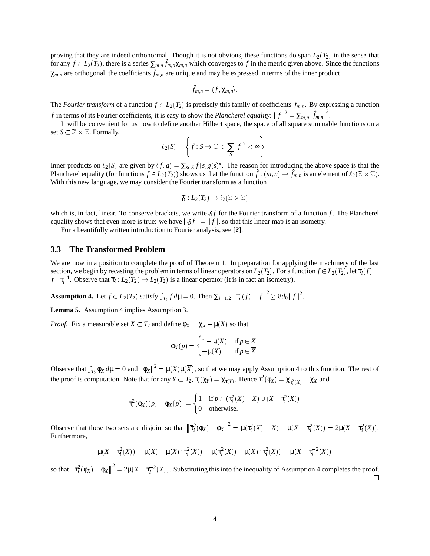proving that they are indeed orthonormal. Though it is not obvious, these functions do span  $L_2(T_2)$  in the sense that for any  $f \in L_2(T_2)$ , there is a series  $\sum_{m,n} \hat{f}_{m,n} \chi_{m,n}$  which converges to f in the metric given above. Since the functions  $\chi_{m,n}$  are orthogonal, the coefficients  $\hat{f}_{m,n}$  are unique and may be expressed in terms of the inner product

$$
\hat{f}_{m,n}=\langle f,\chi_{m,n}\rangle.
$$

The *Fourier transform* of a function  $f \in L_2(T_2)$  is precisely this family of coefficients  $f_{m,n}$ . By expressing a function *f* in terms of its Fourier coefficients, it is easy to show the *Plancherel equality*:  $||f||^2 = \sum_{m,n} |\hat{f}_{m,n}|^2$ .

It will be convenient for us now to define another Hilbert space, the space of all square summable functions on a set  $S \subset \mathbb{Z} \times \mathbb{Z}$ . Formally,

$$
\ell_2(S) = \left\{ f : S \to \mathbb{C} \ : \ \sum_S |f|^2 < \infty \right\}.
$$

Inner products on  $\ell_2(S)$  are given by  $\langle f, g \rangle = \sum_{s \in S} f(s)g(s)^*$ . The reason for introducing the above space is that the Plancherel equality (for functions  $f \in L_2(T_2)$ ) shows us that the function  $\hat{f} : (m,n) \mapsto \hat{f}_{m,n}$  is an element of  $\ell_2(\mathbb{Z} \times \mathbb{Z})$ . With this new language, we may consider the Fourier transform as a function

$$
\mathfrak{F}:L_{2}(T_{2})\rightarrow \ell_{2}(\mathbb{Z}\times\mathbb{Z})
$$

which is, in fact, linear. To conserve brackets, we write  $\mathfrak{F}f$  for the Fourier transform of a function f. The Plancherel equality shows that even more is true: we have  $\|\mathfrak{F}f\| = \|f\|$ , so that this linear map is an isometry.

For a beautifully written introduction to Fourier analysis, see [**?**].

#### **3.3 The Transformed Problem**

We are now in a position to complete the proof of Theorem 1. In preparation for applying the machinery of the last section, we begin by recasting the problem in terms of linear operators on  $L_2(T_2)$ . For a function  $f \in L_2(T_2)$ , let  $\overline{\tau}_i(f)$ *f*  $\circ \tau_i^{-1}$ . Observe that  $\overline{\tau}_i : L_2(T_2) \to L_2(T_2)$  is a linear operator (it is in fact an isometry).

**Assumption 4.** Let  $f \in L_2(T_2)$  satisfy  $\int_{T_2} f d\mu = 0$ . Then  $\sum_{i=1,2} |\vec{\tau}_i^2(f) - f||^2 \ge 8d_0 ||f||^2$ .

**Lemma 5.** Assumption 4 implies Assumption 3.

*Proof.* Fix a measurable set  $X \subset T_2$  and define  $\phi_X = \chi_X - \mu(X)$  so that

$$
\phi_X(p) = \begin{cases} 1 - \mu(X) & \text{if } p \in X \\ -\mu(X) & \text{if } p \in \overline{X} . \end{cases}
$$

Observe that  $\int_{T_2} \phi_X d\mu = 0$  and  $\|\phi_X\|^2 = \mu(X)\mu(\overline{X})$ , so that we may apply Assumption 4 to this function. The rest of the proof is computation. Note that for any  $Y \subset T_2$ ,  $\overline{\tau}_i(\chi_Y) = \chi_{\tau(Y)}$ . Hence  $\overline{\tau}_i^2(\phi_X) = \chi_{\tau_i^2(X)} - \chi_X$  and

$$
\left|\overline{\tau}_{i}^{2}(\phi_{X})(p) - \phi_{X}(p)\right| = \begin{cases} 1 & \text{if } p \in (\tau_{i}^{2}(X) - X) \cup (X - \tau_{i}^{2}(X)), \\ 0 & \text{otherwise.} \end{cases}
$$

Observe that these two sets are disjoint so that  $\left\|\overline{\tau_i^2}(\phi_X) - \phi_X\right\|^2 = \mu(\tau_i^2(X) - X) + \mu(X - \tau_i^2(X)) = 2\mu(X - \tau_i^2(X)).$ Furthermore,

$$
\mu(X - \tau_i^2(X)) = \mu(X) - \mu(X \cap \tau_i^2(X)) = \mu(\tau_i^2(X)) - \mu(X \cap \tau_i^2(X)) = \mu(X - \tau_i^{-2}(X))
$$

so that  $\left\|\overline{\tau}_i^2(\phi_X) - \phi_X\right\|^2 = 2\mu(X - \tau_i^{-2}(X))$ . Substituting this into the inequality of Assumption 4 completes the proof.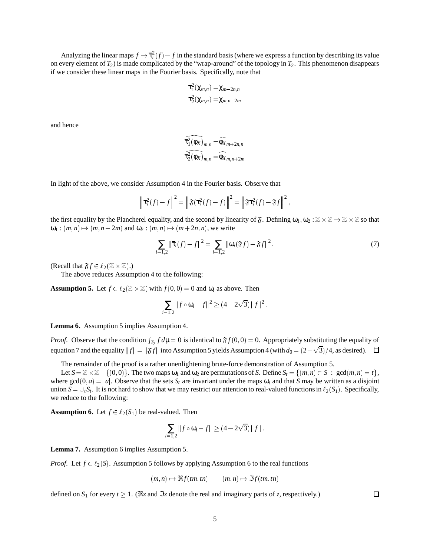Analyzing the linear maps  $f \mapsto \overline{\tau}_i^2(f) - f$  in the standard basis (where we express a function by describing its value on every element of *T*2) is made complicated by the "wrap-around" of the topology in *T*2. This phenomenon disappears if we consider these linear maps in the Fourier basis. Specifically, note that

$$
\overline{\tau}_{1}^{2}(\chi_{m,n})=\chi_{m-2n,n}
$$

$$
\overline{\tau}_{2}^{2}(\chi_{m,n})=\chi_{m,n-2m}
$$

and hence

$$
\widehat{\overline{\tau}_{1}^{2}(\phi_{X})}_{m,n} = \widehat{\phi_{X}}_{m+2n,n}
$$

$$
\widehat{\overline{\tau}_{2}^{2}(\phi_{X})}_{m,n} = \widehat{\phi_{X}}_{m,n+2n}
$$

In light of the above, we consider Assumption 4 in the Fourier basis. Observe that

$$
\left\|\overline{\tau}_{i}^{2}(f)-f\right\|^{2}=\left\|\mathfrak{F}(\overline{\tau}_{i}^{2}(f)-f)\right\|^{2}=\left\|\mathfrak{F}\overline{\tau}_{i}^{2}(f)-\mathfrak{F}f\right\|^{2},
$$

the first equality by the Plancherel equality, and the second by linearity of  $\mathfrak{F}$ . Defining  $\omega_1, \omega_2 : \mathbb{Z} \times \mathbb{Z} \to \mathbb{Z} \times \mathbb{Z}$  so that  $\omega_1$  :  $(m, n) \mapsto (m, n + 2m)$  and  $\omega_2$  :  $(m, n) \mapsto (m + 2n, n)$ , we write

$$
\sum_{i=1,2} \|\overline{\tau}_i(f) - f\|^2 = \sum_{i=1,2} \|\omega_i(\mathfrak{F}f) - \mathfrak{F}f\|^2.
$$
 (7)

(Recall that  $\mathfrak{F} f \in \ell_2(\mathbb{Z} \times \mathbb{Z})$ .)

The above reduces Assumption 4 to the following:

**Assumption 5.** Let  $f \in \ell_2(\mathbb{Z} \times \mathbb{Z})$  with  $f(0,0) = 0$  and  $\omega_i$  as above. Then

$$
\sum_{i=1,2}||f\circ\omega_i-f||^2\geq(4-2\sqrt{3})||f||^2.
$$

**Lemma 6.** Assumption 5 implies Assumption 4.

*Proof.* Observe that the condition  $\int_{T_2} f d\mu = 0$  is identical to  $\mathfrak{F}f(0,0) = 0$ . Appropriately substituting the equality of equation 7 and the equality  $\|f\|=\|\mathfrak{F}f\|$  into Assumption 5 yields Assumption 4 (with  $d_0=(2-\sqrt{3})/4$ , as desired).

The remainder of the proof is a rather unenlightening brute-force demonstration of Assumption 5.

Let  $S = \mathbb{Z} \times \mathbb{Z} - \{(0,0)\}\.$  The two maps  $\omega_1$  and  $\omega_2$  are permutations of *S*. Define  $S_t = \{(m,n) \in S : \gcd(m,n) = t\}$ , where  $gcd(0, a) = |a|$ . Observe that the sets  $S_t$  are invariant under the maps  $\omega_i$  and that *S* may be written as a disjoint union  $S = \bigcup_t S_t$ . It is not hard to show that we may restrict our attention to real-valued functions in  $\ell_2(S_1)$ . Specifically, we reduce to the following:

**Assumption 6.** Let  $f \in \ell_2(S_1)$  be real-valued. Then

$$
\sum_{i=1,2}||f\circ\omega_i-f||\geq(4-2\sqrt{3})||f||.
$$

**Lemma 7.** Assumption 6 implies Assumption 5.

*Proof.* Let  $f \in \ell_2(S)$ . Assumption 5 follows by applying Assumption 6 to the real functions

$$
(m,n) \mapsto \Re f(tm,tn) \qquad (m,n) \mapsto \Im f(tm,tn)
$$

defined on  $S_1$  for every  $t \geq 1$ . ( $\Re z$  and  $\Im z$  denote the real and imaginary parts of *z*, respectively.)

 $\Box$